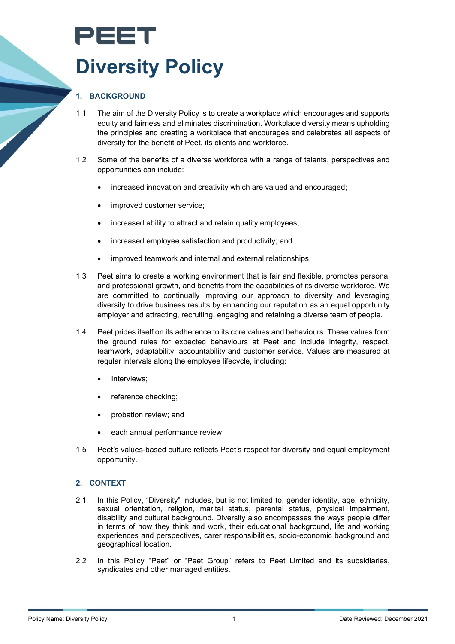# PEET **Diversity Policy**

# **1. BACKGROUND**

- 1.1 The aim of the Diversity Policy is to create a workplace which encourages and supports equity and fairness and eliminates discrimination. Workplace diversity means upholding the principles and creating a workplace that encourages and celebrates all aspects of diversity for the benefit of Peet, its clients and workforce.
- 1.2 Some of the benefits of a diverse workforce with a range of talents, perspectives and opportunities can include:
	- increased innovation and creativity which are valued and encouraged;
	- improved customer service;
	- increased ability to attract and retain quality employees;
	- increased employee satisfaction and productivity; and
	- improved teamwork and internal and external relationships.
- 1.3 Peet aims to create a working environment that is fair and flexible, promotes personal and professional growth, and benefits from the capabilities of its diverse workforce. We are committed to continually improving our approach to diversity and leveraging diversity to drive business results by enhancing our reputation as an equal opportunity employer and attracting, recruiting, engaging and retaining a diverse team of people.
- 1.4 Peet prides itself on its adherence to its core values and behaviours. These values form the ground rules for expected behaviours at Peet and include integrity, respect, teamwork, adaptability, accountability and customer service. Values are measured at regular intervals along the employee lifecycle, including:
	- Interviews:
	- reference checking;
	- probation review; and
	- each annual performance review.
- 1.5 Peet's values-based culture reflects Peet's respect for diversity and equal employment opportunity.

#### **2. CONTEXT**

- 2.1 In this Policy, "Diversity" includes, but is not limited to, gender identity, age, ethnicity, sexual orientation, religion, marital status, parental status, physical impairment, disability and cultural background. Diversity also encompasses the ways people differ in terms of how they think and work, their educational background, life and working experiences and perspectives, carer responsibilities, socio-economic background and geographical location.
- 2.2 In this Policy "Peet" or "Peet Group" refers to Peet Limited and its subsidiaries, syndicates and other managed entities.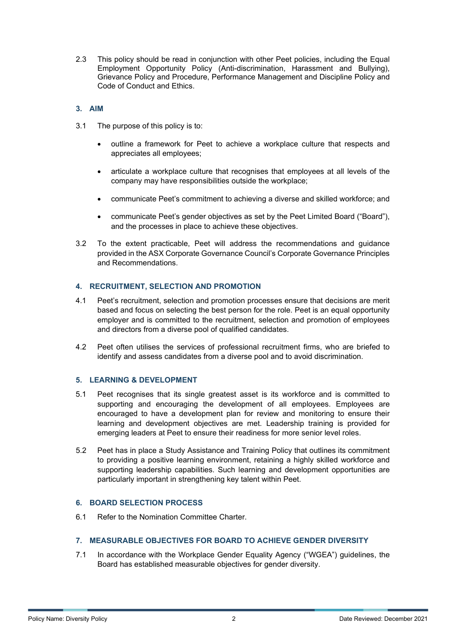2.3 This policy should be read in conjunction with other Peet policies, including the Equal Employment Opportunity Policy (Anti-discrimination, Harassment and Bullying), Grievance Policy and Procedure, Performance Management and Discipline Policy and Code of Conduct and Ethics.

#### **3. AIM**

- 3.1 The purpose of this policy is to:
	- outline a framework for Peet to achieve a workplace culture that respects and appreciates all employees;
	- articulate a workplace culture that recognises that employees at all levels of the company may have responsibilities outside the workplace;
	- communicate Peet's commitment to achieving a diverse and skilled workforce; and
	- communicate Peet's gender objectives as set by the Peet Limited Board ("Board"), and the processes in place to achieve these objectives.
- 3.2 To the extent practicable, Peet will address the recommendations and guidance provided in the ASX Corporate Governance Council's Corporate Governance Principles and Recommendations.

# **4. RECRUITMENT, SELECTION AND PROMOTION**

- 4.1 Peet's recruitment, selection and promotion processes ensure that decisions are merit based and focus on selecting the best person for the role. Peet is an equal opportunity employer and is committed to the recruitment, selection and promotion of employees and directors from a diverse pool of qualified candidates.
- 4.2 Peet often utilises the services of professional recruitment firms, who are briefed to identify and assess candidates from a diverse pool and to avoid discrimination.

#### **5. LEARNING & DEVELOPMENT**

- 5.1 Peet recognises that its single greatest asset is its workforce and is committed to supporting and encouraging the development of all employees. Employees are encouraged to have a development plan for review and monitoring to ensure their learning and development objectives are met. Leadership training is provided for emerging leaders at Peet to ensure their readiness for more senior level roles.
- 5.2 Peet has in place a Study Assistance and Training Policy that outlines its commitment to providing a positive learning environment, retaining a highly skilled workforce and supporting leadership capabilities. Such learning and development opportunities are particularly important in strengthening key talent within Peet.

#### **6. BOARD SELECTION PROCESS**

6.1 Refer to the Nomination Committee Charter.

# **7. MEASURABLE OBJECTIVES FOR BOARD TO ACHIEVE GENDER DIVERSITY**

7.1 In accordance with the Workplace Gender Equality Agency ("WGEA") guidelines, the Board has established measurable objectives for gender diversity.